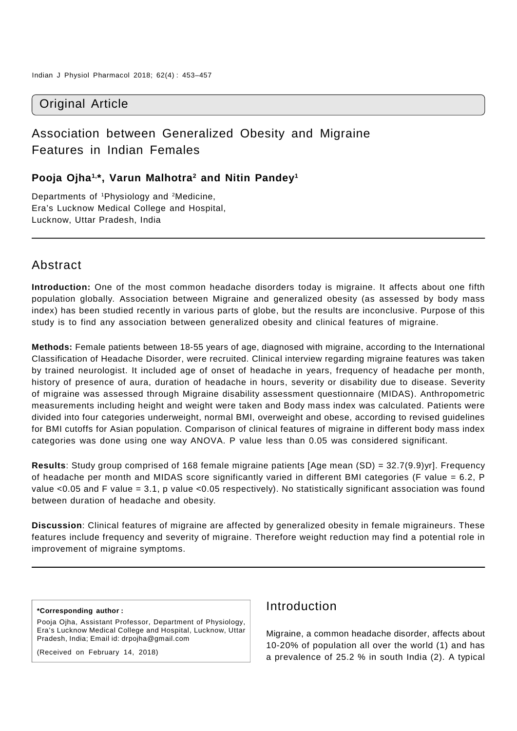## Original Article

# Association between Generalized Obesity and Migraine Features in Indian Females

### **Pooja Ojha1,\*, Varun Malhotra2 and Nitin Pandey1**

Departments of 1Physiology and 2Medicine, Era's Lucknow Medical College and Hospital, Lucknow, Uttar Pradesh, India

## Abstract

**Introduction:** One of the most common headache disorders today is migraine. It affects about one fifth population globally. Association between Migraine and generalized obesity (as assessed by body mass index) has been studied recently in various parts of globe, but the results are inconclusive. Purpose of this study is to find any association between generalized obesity and clinical features of migraine.

**Methods:** Female patients between 18-55 years of age, diagnosed with migraine, according to the International Classification of Headache Disorder, were recruited. Clinical interview regarding migraine features was taken by trained neurologist. It included age of onset of headache in years, frequency of headache per month, history of presence of aura, duration of headache in hours, severity or disability due to disease. Severity of migraine was assessed through Migraine disability assessment questionnaire (MIDAS). Anthropometric measurements including height and weight were taken and Body mass index was calculated. Patients were divided into four categories underweight, normal BMI, overweight and obese, according to revised guidelines for BMI cutoffs for Asian population. Comparison of clinical features of migraine in different body mass index categories was done using one way ANOVA. P value less than 0.05 was considered significant.

**Results**: Study group comprised of 168 female migraine patients [Age mean (SD) = 32.7(9.9)yr]. Frequency of headache per month and MIDAS score significantly varied in different BMI categories (F value = 6.2, P value <0.05 and F value = 3.1, p value <0.05 respectively). No statistically significant association was found between duration of headache and obesity.

**Discussion**: Clinical features of migraine are affected by generalized obesity in female migraineurs. These features include frequency and severity of migraine. Therefore weight reduction may find a potential role in improvement of migraine symptoms.

#### **\*Corresponding author :**

Pooja Ojha, Assistant Professor, Department of Physiology, Era's Lucknow Medical College and Hospital, Lucknow, Uttar Pradesh, India; Email id: drpojha@gmail.com

(Received on February 14, 2018)

## Introduction

Migraine, a common headache disorder, affects about 10-20% of population all over the world (1) and has a prevalence of 25.2 % in south India (2). A typical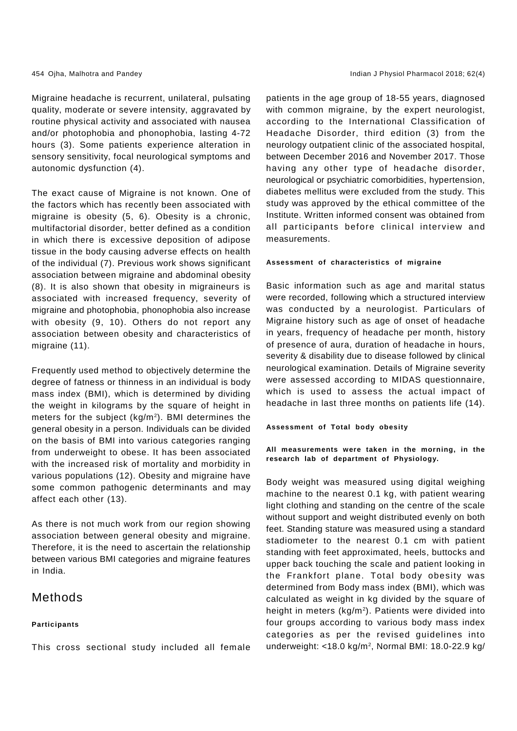Migraine headache is recurrent, unilateral, pulsating quality, moderate or severe intensity, aggravated by routine physical activity and associated with nausea and/or photophobia and phonophobia, lasting 4-72 hours (3). Some patients experience alteration in sensory sensitivity, focal neurological symptoms and autonomic dysfunction (4).

The exact cause of Migraine is not known. One of the factors which has recently been associated with migraine is obesity (5, 6). Obesity is a chronic, multifactorial disorder, better defined as a condition in which there is excessive deposition of adipose tissue in the body causing adverse effects on health of the individual (7). Previous work shows significant association between migraine and abdominal obesity (8). It is also shown that obesity in migraineurs is associated with increased frequency, severity of migraine and photophobia, phonophobia also increase with obesity (9, 10). Others do not report any association between obesity and characteristics of migraine (11).

Frequently used method to objectively determine the degree of fatness or thinness in an individual is body mass index (BMI), which is determined by dividing the weight in kilograms by the square of height in meters for the subject (kg/m2). BMI determines the general obesity in a person. Individuals can be divided on the basis of BMI into various categories ranging from underweight to obese. It has been associated with the increased risk of mortality and morbidity in various populations (12). Obesity and migraine have some common pathogenic determinants and may affect each other (13).

As there is not much work from our region showing association between general obesity and migraine. Therefore, it is the need to ascertain the relationship between various BMI categories and migraine features in India.

### Methods

### **Participants**

This cross sectional study included all female

patients in the age group of 18-55 years, diagnosed with common migraine, by the expert neurologist, according to the International Classification of Headache Disorder, third edition (3) from the neurology outpatient clinic of the associated hospital, between December 2016 and November 2017. Those having any other type of headache disorder, neurological or psychiatric comorbidities, hypertension, diabetes mellitus were excluded from the study. This study was approved by the ethical committee of the Institute. Written informed consent was obtained from all participants before clinical interview and measurements.

### **Assessment of characteristics of migraine**

Basic information such as age and marital status were recorded, following which a structured interview was conducted by a neurologist. Particulars of Migraine history such as age of onset of headache in years, frequency of headache per month, history of presence of aura, duration of headache in hours, severity & disability due to disease followed by clinical neurological examination. Details of Migraine severity were assessed according to MIDAS questionnaire, which is used to assess the actual impact of headache in last three months on patients life (14).

**Assessment of Total body obesity**

**All measurements were taken in the morning, in the research lab of department of Physiology.**

Body weight was measured using digital weighing machine to the nearest 0.1 kg, with patient wearing light clothing and standing on the centre of the scale without support and weight distributed evenly on both feet. Standing stature was measured using a standard stadiometer to the nearest 0.1 cm with patient standing with feet approximated, heels, buttocks and upper back touching the scale and patient looking in the Frankfort plane. Total body obesity was determined from Body mass index (BMI), which was calculated as weight in kg divided by the square of height in meters (kg/m<sup>2</sup>). Patients were divided into four groups according to various body mass index categories as per the revised guidelines into underweight: <18.0 kg/m2 , Normal BMI: 18.0-22.9 kg/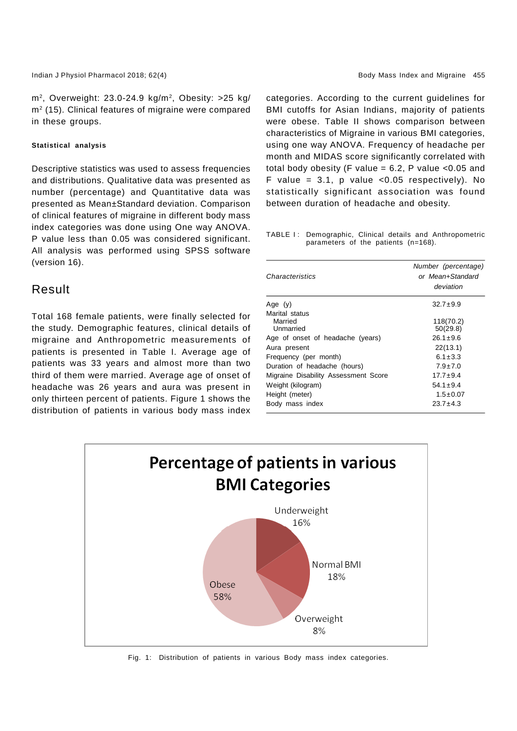Indian J Physiol Pharmacol 2018; 62(4) Body Mass Index and Migraine 455

 $m^2$ , Overweight: 23.0-24.9 kg/m<sup>2</sup>, Obesity: >25 kg/ m2 (15). Clinical features of migraine were compared in these groups.

#### **Statistical analysis**

Descriptive statistics was used to assess frequencies and distributions. Qualitative data was presented as number (percentage) and Quantitative data was presented as Mean±Standard deviation. Comparison of clinical features of migraine in different body mass index categories was done using One way ANOVA. P value less than 0.05 was considered significant. All analysis was performed using SPSS software (version 16).

### Result

Total 168 female patients, were finally selected for the study. Demographic features, clinical details of migraine and Anthropometric measurements of patients is presented in Table I. Average age of patients was 33 years and almost more than two third of them were married. Average age of onset of headache was 26 years and aura was present in only thirteen percent of patients. Figure 1 shows the distribution of patients in various body mass index categories. According to the current guidelines for BMI cutoffs for Asian Indians, majority of patients were obese. Table II shows comparison between characteristics of Migraine in various BMI categories, using one way ANOVA. Frequency of headache per month and MIDAS score significantly correlated with total body obesity (F value =  $6.2$ , P value < $0.05$  and F value =  $3.1$ , p value <  $0.05$  respectively). No statistically significant association was found between duration of headache and obesity.

TABLE I: Demographic, Clinical details and Anthropometric parameters of the patients (n=168).

| Characteristics                        | Number (percentage)<br>or Mean+Standard<br>deviation |  |  |
|----------------------------------------|------------------------------------------------------|--|--|
| Age $(y)$                              | $32.7 \pm 9.9$                                       |  |  |
| Marital status<br>Married<br>Unmarried | 118(70.2)<br>50(29.8)                                |  |  |
| Age of onset of headache (years)       | $26.1 \pm 9.6$                                       |  |  |
| Aura present                           | 22(13.1)                                             |  |  |
| Frequency (per month)                  | $6.1 \pm 3.3$                                        |  |  |
| Duration of headache (hours)           | $7.9 \pm 7.0$                                        |  |  |
| Migraine Disability Assessment Score   | $17.7 \pm 9.4$                                       |  |  |
| Weight (kilogram)                      | $54.1 + 9.4$                                         |  |  |
| Height (meter)                         | $1.5 \pm 0.07$                                       |  |  |
| Body mass index                        | $23.7 \pm 4.3$                                       |  |  |



Fig. 1: Distribution of patients in various Body mass index categories.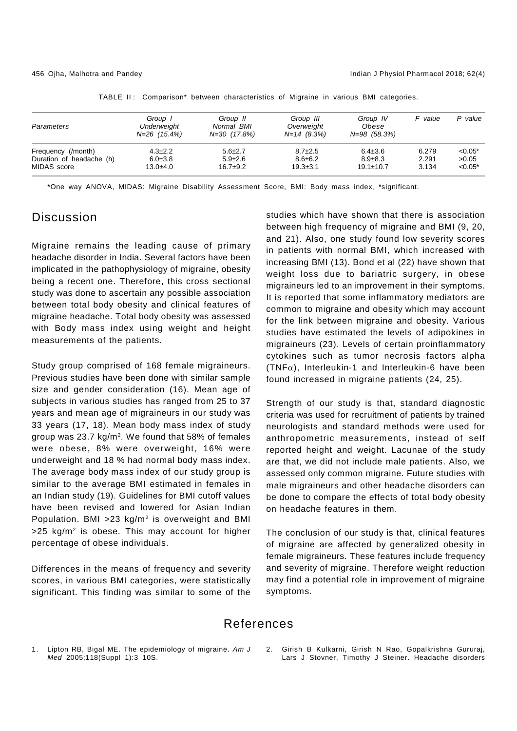| Parameters               | Group 1<br>Underweight<br>$N = 26$ (15.4%) | Group II<br>Normal BMI<br>N=30 (17.8%) | Group III<br>Overweight<br>$N=14$ (8.3%) | Group IV<br>Obese<br>N=98 (58.3%) | F value | P value   |
|--------------------------|--------------------------------------------|----------------------------------------|------------------------------------------|-----------------------------------|---------|-----------|
| Frequency (/month)       | $4.3 \pm 2.2$                              | $5.6 \pm 2.7$                          | $8.7 \pm 2.5$                            | $6.4 \pm 3.6$                     | 6.279   | $< 0.05*$ |
| Duration of headache (h) | $6.0 \pm 3.8$                              | $5.9 \pm 2.6$                          | $8.6 \pm 6.2$                            | $8.9 \pm 8.3$                     | 2.291   | >0.05     |
| MIDAS score              | $13.0 + 4.0$                               | $16.7+9.2$                             | $19.3 \pm 3.1$                           | $19.1 \pm 10.7$                   | 3.134   | $< 0.05*$ |

TABLE II: Comparison\* between characteristics of Migraine in various BMI categories.

\*One way ANOVA, MIDAS: Migraine Disability Assessment Score, BMI: Body mass index, \*significant.

### **Discussion**

Migraine remains the leading cause of primary headache disorder in India. Several factors have been implicated in the pathophysiology of migraine, obesity being a recent one. Therefore, this cross sectional study was done to ascertain any possible association between total body obesity and clinical features of migraine headache. Total body obesity was assessed with Body mass index using weight and height measurements of the patients.

Study group comprised of 168 female migraineurs. Previous studies have been done with similar sample size and gender consideration (16). Mean age of subjects in various studies has ranged from 25 to 37 years and mean age of migraineurs in our study was 33 years (17, 18). Mean body mass index of study group was 23.7 kg/m<sup>2</sup>. We found that 58% of females were obese, 8% were overweight, 16% were underweight and 18 % had normal body mass index. The average body mass index of our study group is similar to the average BMI estimated in females in an Indian study (19). Guidelines for BMI cutoff values have been revised and lowered for Asian Indian Population. BMI  $>23$  kg/m<sup>2</sup> is overweight and BMI  $>25$  kg/m<sup>2</sup> is obese. This may account for higher percentage of obese individuals.

Differences in the means of frequency and severity scores, in various BMI categories, were statistically significant. This finding was similar to some of the

studies which have shown that there is association between high frequency of migraine and BMI (9, 20, and 21). Also, one study found low severity scores in patients with normal BMI, which increased with increasing BMI (13). Bond et al (22) have shown that weight loss due to bariatric surgery, in obese migraineurs led to an improvement in their symptoms. It is reported that some inflammatory mediators are common to migraine and obesity which may account for the link between migraine and obesity. Various studies have estimated the levels of adipokines in migraineurs (23). Levels of certain proinflammatory cytokines such as tumor necrosis factors alpha  $(TNF<sub>\alpha</sub>)$ , Interleukin-1 and Interleukin-6 have been found increased in migraine patients (24, 25).

Strength of our study is that, standard diagnostic criteria was used for recruitment of patients by trained neurologists and standard methods were used for anthropometric measurements, instead of self reported height and weight. Lacunae of the study are that, we did not include male patients. Also, we assessed only common migraine. Future studies with male migraineurs and other headache disorders can be done to compare the effects of total body obesity on headache features in them.

The conclusion of our study is that, clinical features of migraine are affected by generalized obesity in female migraineurs. These features include frequency and severity of migraine. Therefore weight reduction may find a potential role in improvement of migraine symptoms.

### References

- 1. Lipton RB, Bigal ME. The epidemiology of migraine. *Am J Med* 2005;118(Suppl 1):3 10S.
- 2. Girish B Kulkarni, Girish N Rao, Gopalkrishna Gururaj, Lars J Stovner, Timothy J Steiner. Headache disorders